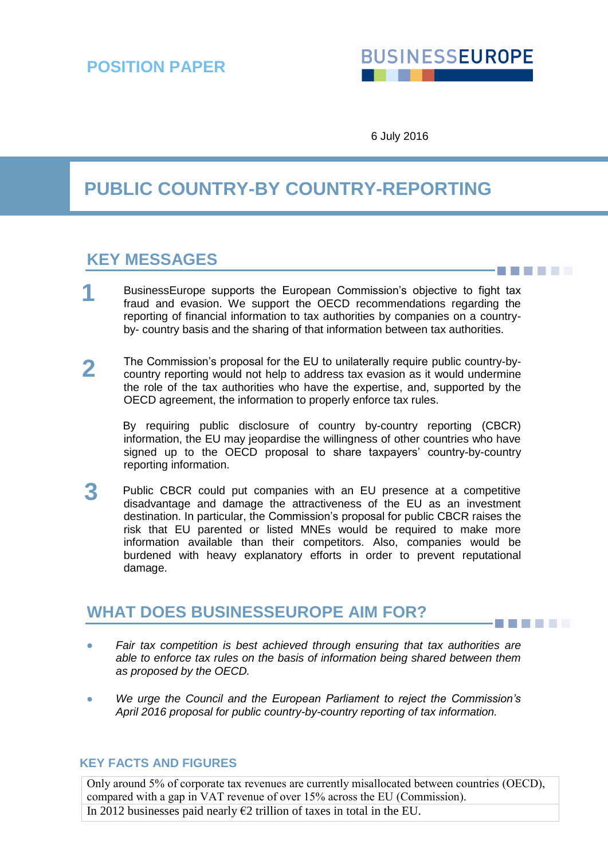# **BUSINESSEUROPE**

- 31 8 8 9 9 1

6 July 2016

# **PUBLIC COUNTRY-BY COUNTRY-REPORTING**

## **KEY MESSAGES**

- BusinessEurope supports the European Commission's objective to fight tax fraud and evasion. We support the OECD recommendations regarding the reporting of financial information to tax authorities by companies on a countryby- country basis and the sharing of that information between tax authorities. **1**
- The Commission's proposal for the EU to unilaterally require public country-bycountry reporting would not help to address tax evasion as it would undermine the role of the tax authorities who have the expertise, and, supported by the OECD agreement, the information to properly enforce tax rules. **2**

By requiring public disclosure of country by-country reporting (CBCR) information, the EU may jeopardise the willingness of other countries who have signed up to the OECD proposal to share taxpayers' country-by-country reporting information.

Public CBCR could put companies with an EU presence at a competitive disadvantage and damage the attractiveness of the EU as an investment destination. In particular, the Commission's proposal for public CBCR raises the risk that EU parented or listed MNEs would be required to make more information available than their competitors. Also, companies would be burdened with heavy explanatory efforts in order to prevent reputational damage. **3**

## **WHAT DOES BUSINESSEUROPE AIM FOR?**

- *Fair tax competition is best achieved through ensuring that tax authorities are able to enforce tax rules on the basis of information being shared between them as proposed by the OECD.*
- *We urge the Council and the European Parliament to reject the Commission's April 2016 proposal for public country-by-country reporting of tax information.*

#### **KEY FACTS AND FIGURES**

Only around 5% of corporate tax revenues are currently misallocated between countries (OECD), compared with a gap in VAT revenue of over 15% across the EU (Commission). In 2012 businesses paid nearly  $E2$  trillion of taxes in total in the EU.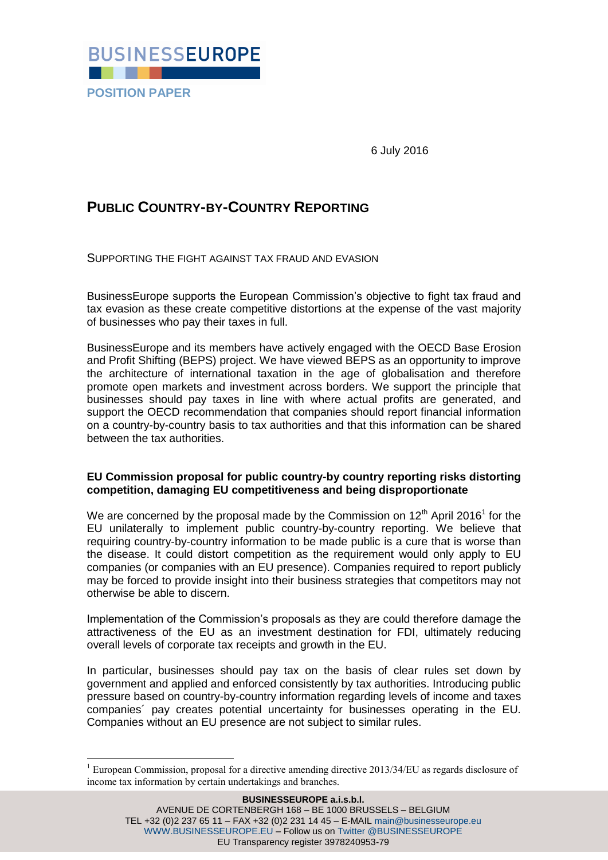

6 July 2016

### **PUBLIC COUNTRY-BY-COUNTRY REPORTING**

SUPPORTING THE FIGHT AGAINST TAX FRAUD AND EVASION

BusinessEurope supports the European Commission's objective to fight tax fraud and tax evasion as these create competitive distortions at the expense of the vast majority of businesses who pay their taxes in full.

BusinessEurope and its members have actively engaged with the OECD Base Erosion and Profit Shifting (BEPS) project. We have viewed BEPS as an opportunity to improve the architecture of international taxation in the age of globalisation and therefore promote open markets and investment across borders. We support the principle that businesses should pay taxes in line with where actual profits are generated, and support the OECD recommendation that companies should report financial information on a country-by-country basis to tax authorities and that this information can be shared between the tax authorities.

#### **EU Commission proposal for public country-by country reporting risks distorting competition, damaging EU competitiveness and being disproportionate**

We are concerned by the proposal made by the Commission on 12<sup>th</sup> April 2016<sup>1</sup> for the EU unilaterally to implement public country-by-country reporting. We believe that requiring country-by-country information to be made public is a cure that is worse than the disease. It could distort competition as the requirement would only apply to EU companies (or companies with an EU presence). Companies required to report publicly may be forced to provide insight into their business strategies that competitors may not otherwise be able to discern.

Implementation of the Commission's proposals as they are could therefore damage the attractiveness of the EU as an investment destination for FDI, ultimately reducing overall levels of corporate tax receipts and growth in the EU.

In particular, businesses should pay tax on the basis of clear rules set down by government and applied and enforced consistently by tax authorities. Introducing public pressure based on country-by-country information regarding levels of income and taxes companies´ pay creates potential uncertainty for businesses operating in the EU. Companies without an EU presence are not subject to similar rules.

1

 $1$  European Commission, proposal for a directive amending directive 2013/34/EU as regards disclosure of income tax information by certain undertakings and branches.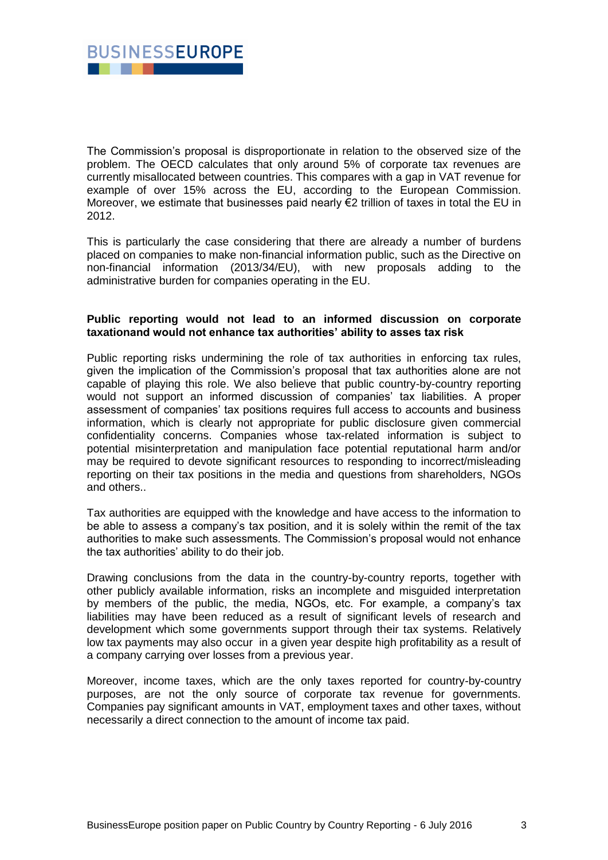

The Commission's proposal is disproportionate in relation to the observed size of the problem. The OECD calculates that only around 5% of corporate tax revenues are currently misallocated between countries. This compares with a gap in VAT revenue for example of over 15% across the EU, according to the European Commission. Moreover, we estimate that businesses paid nearly €2 trillion of taxes in total the EU in 2012.

This is particularly the case considering that there are already a number of burdens placed on companies to make non-financial information public, such as the Directive on non-financial information (2013/34/EU), with new proposals adding to the administrative burden for companies operating in the EU.

#### **Public reporting would not lead to an informed discussion on corporate taxationand would not enhance tax authorities' ability to asses tax risk**

Public reporting risks undermining the role of tax authorities in enforcing tax rules, given the implication of the Commission's proposal that tax authorities alone are not capable of playing this role. We also believe that public country-by-country reporting would not support an informed discussion of companies' tax liabilities. A proper assessment of companies' tax positions requires full access to accounts and business information, which is clearly not appropriate for public disclosure given commercial confidentiality concerns. Companies whose tax-related information is subject to potential misinterpretation and manipulation face potential reputational harm and/or may be required to devote significant resources to responding to incorrect/misleading reporting on their tax positions in the media and questions from shareholders, NGOs and others..

Tax authorities are equipped with the knowledge and have access to the information to be able to assess a company's tax position, and it is solely within the remit of the tax authorities to make such assessments. The Commission's proposal would not enhance the tax authorities' ability to do their job.

Drawing conclusions from the data in the country-by-country reports, together with other publicly available information, risks an incomplete and misguided interpretation by members of the public, the media, NGOs, etc. For example, a company's tax liabilities may have been reduced as a result of significant levels of research and development which some governments support through their tax systems. Relatively low tax payments may also occur in a given year despite high profitability as a result of a company carrying over losses from a previous year.

Moreover, income taxes, which are the only taxes reported for country-by-country purposes, are not the only source of corporate tax revenue for governments. Companies pay significant amounts in VAT, employment taxes and other taxes, without necessarily a direct connection to the amount of income tax paid.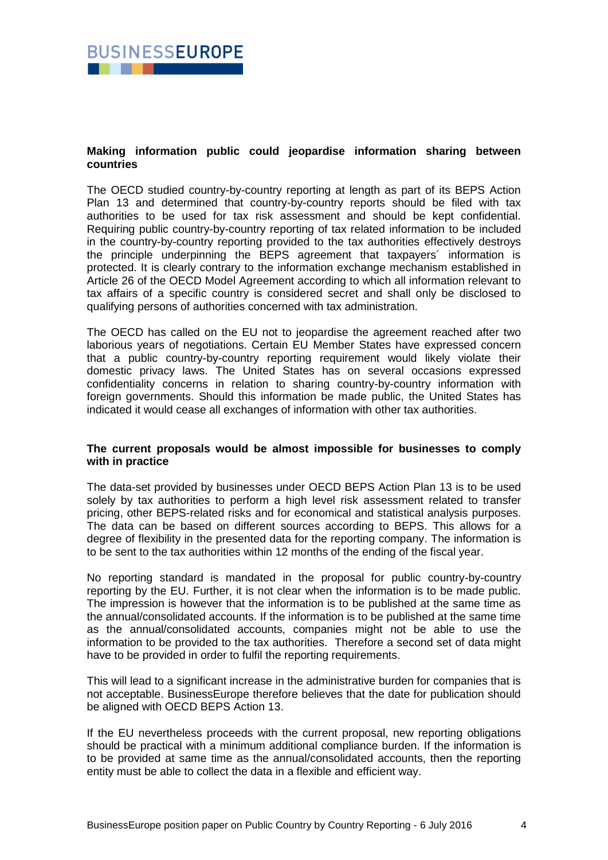

#### **Making information public could jeopardise information sharing between countries**

The OECD studied country-by-country reporting at length as part of its BEPS Action Plan 13 and determined that country-by-country reports should be filed with tax authorities to be used for tax risk assessment and should be kept confidential. Requiring public country-by-country reporting of tax related information to be included in the country-by-country reporting provided to the tax authorities effectively destroys the principle underpinning the BEPS agreement that taxpayers´ information is protected. It is clearly contrary to the information exchange mechanism established in Article 26 of the OECD Model Agreement according to which all information relevant to tax affairs of a specific country is considered secret and shall only be disclosed to qualifying persons of authorities concerned with tax administration.

The OECD has called on the EU not to jeopardise the agreement reached after two laborious years of negotiations. Certain EU Member States have expressed concern that a public country-by-country reporting requirement would likely violate their domestic privacy laws. The United States has on several occasions expressed confidentiality concerns in relation to sharing country-by-country information with foreign governments. Should this information be made public, the United States has indicated it would cease all exchanges of information with other tax authorities.

#### **The current proposals would be almost impossible for businesses to comply with in practice**

The data-set provided by businesses under OECD BEPS Action Plan 13 is to be used solely by tax authorities to perform a high level risk assessment related to transfer pricing, other BEPS-related risks and for economical and statistical analysis purposes. The data can be based on different sources according to BEPS. This allows for a degree of flexibility in the presented data for the reporting company. The information is to be sent to the tax authorities within 12 months of the ending of the fiscal year.

No reporting standard is mandated in the proposal for public country-by-country reporting by the EU. Further, it is not clear when the information is to be made public. The impression is however that the information is to be published at the same time as the annual/consolidated accounts. If the information is to be published at the same time as the annual/consolidated accounts, companies might not be able to use the information to be provided to the tax authorities. Therefore a second set of data might have to be provided in order to fulfil the reporting requirements.

This will lead to a significant increase in the administrative burden for companies that is not acceptable. BusinessEurope therefore believes that the date for publication should be aligned with OECD BEPS Action 13.

If the EU nevertheless proceeds with the current proposal, new reporting obligations should be practical with a minimum additional compliance burden. If the information is to be provided at same time as the annual/consolidated accounts, then the reporting entity must be able to collect the data in a flexible and efficient way.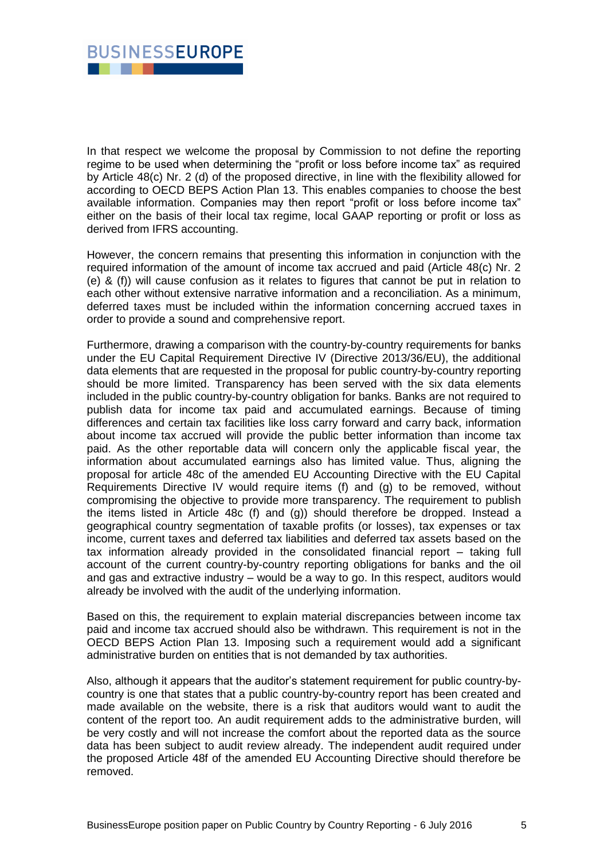

In that respect we welcome the proposal by Commission to not define the reporting regime to be used when determining the "profit or loss before income tax" as required by Article 48(c) Nr. 2 (d) of the proposed directive, in line with the flexibility allowed for according to OECD BEPS Action Plan 13. This enables companies to choose the best available information. Companies may then report "profit or loss before income tax" either on the basis of their local tax regime, local GAAP reporting or profit or loss as derived from IFRS accounting.

However, the concern remains that presenting this information in conjunction with the required information of the amount of income tax accrued and paid (Article 48(c) Nr. 2 (e) & (f)) will cause confusion as it relates to figures that cannot be put in relation to each other without extensive narrative information and a reconciliation. As a minimum, deferred taxes must be included within the information concerning accrued taxes in order to provide a sound and comprehensive report.

Furthermore, drawing a comparison with the country-by-country requirements for banks under the EU Capital Requirement Directive IV (Directive 2013/36/EU), the additional data elements that are requested in the proposal for public country-by-country reporting should be more limited. Transparency has been served with the six data elements included in the public country-by-country obligation for banks. Banks are not required to publish data for income tax paid and accumulated earnings. Because of timing differences and certain tax facilities like loss carry forward and carry back, information about income tax accrued will provide the public better information than income tax paid. As the other reportable data will concern only the applicable fiscal year, the information about accumulated earnings also has limited value. Thus, aligning the proposal for article 48c of the amended EU Accounting Directive with the EU Capital Requirements Directive IV would require items (f) and (g) to be removed, without compromising the objective to provide more transparency. The requirement to publish the items listed in Article 48c (f) and (g)) should therefore be dropped. Instead a geographical country segmentation of taxable profits (or losses), tax expenses or tax income, current taxes and deferred tax liabilities and deferred tax assets based on the tax information already provided in the consolidated financial report – taking full account of the current country-by-country reporting obligations for banks and the oil and gas and extractive industry – would be a way to go. In this respect, auditors would already be involved with the audit of the underlying information.

Based on this, the requirement to explain material discrepancies between income tax paid and income tax accrued should also be withdrawn. This requirement is not in the OECD BEPS Action Plan 13. Imposing such a requirement would add a significant administrative burden on entities that is not demanded by tax authorities.

Also, although it appears that the auditor's statement requirement for public country-bycountry is one that states that a public country-by-country report has been created and made available on the website, there is a risk that auditors would want to audit the content of the report too. An audit requirement adds to the administrative burden, will be very costly and will not increase the comfort about the reported data as the source data has been subject to audit review already. The independent audit required under the proposed Article 48f of the amended EU Accounting Directive should therefore be removed.